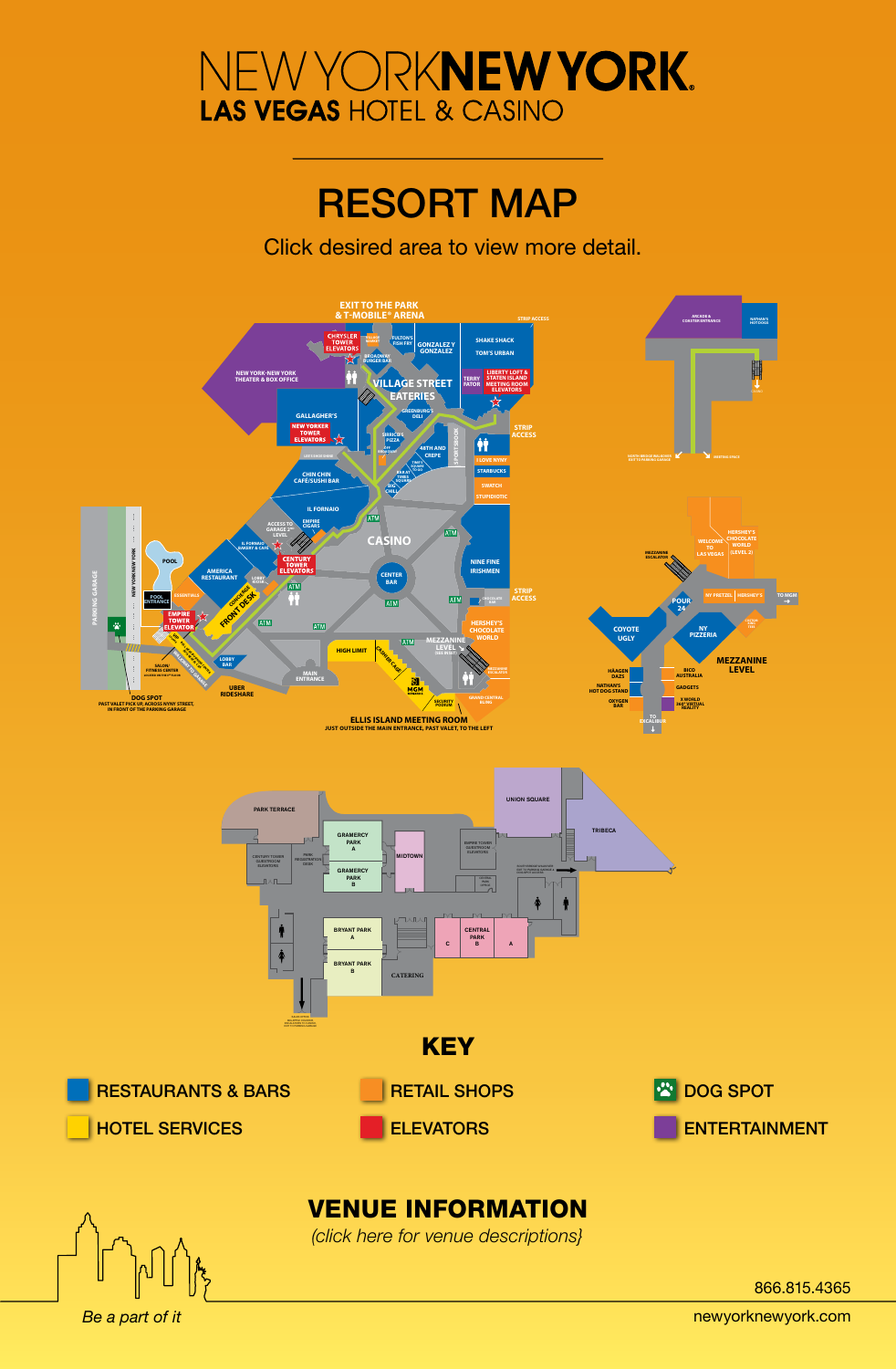# RESORT MAP

Click desired area to view more detail.

<span id="page-0-0"></span>

*Be a part of it* 

866.815.4365

newyorknewyork.com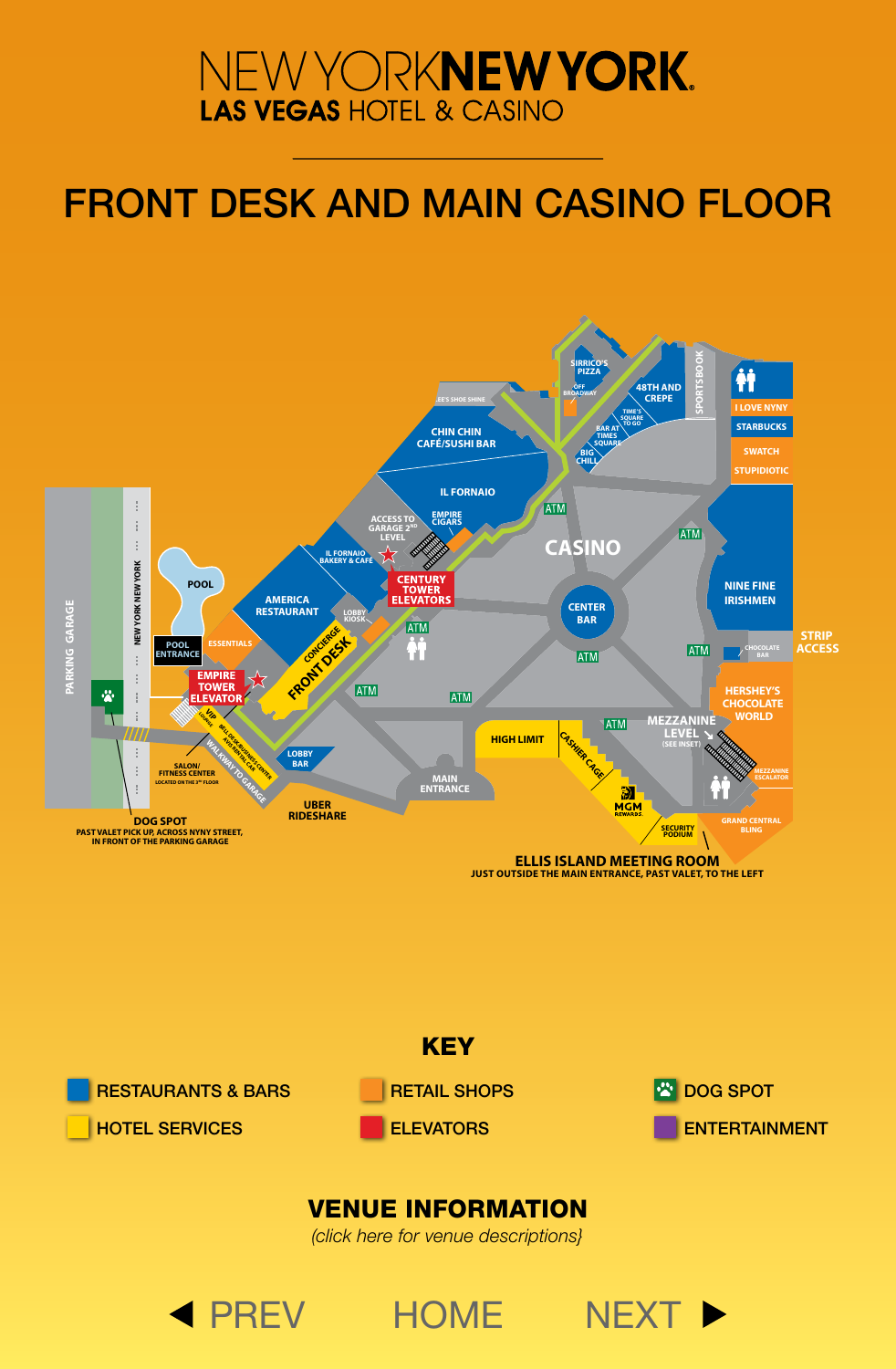# <span id="page-1-0"></span>FRONT DESK AND MAIN CASINO FLOOR





## [VENUE INFORMATION](#page-6-0)

*(click here for venue descriptions}*

◀ [PREV](#page-0-0) [HOME](#page-0-0) [NEXT](#page-2-0) ▶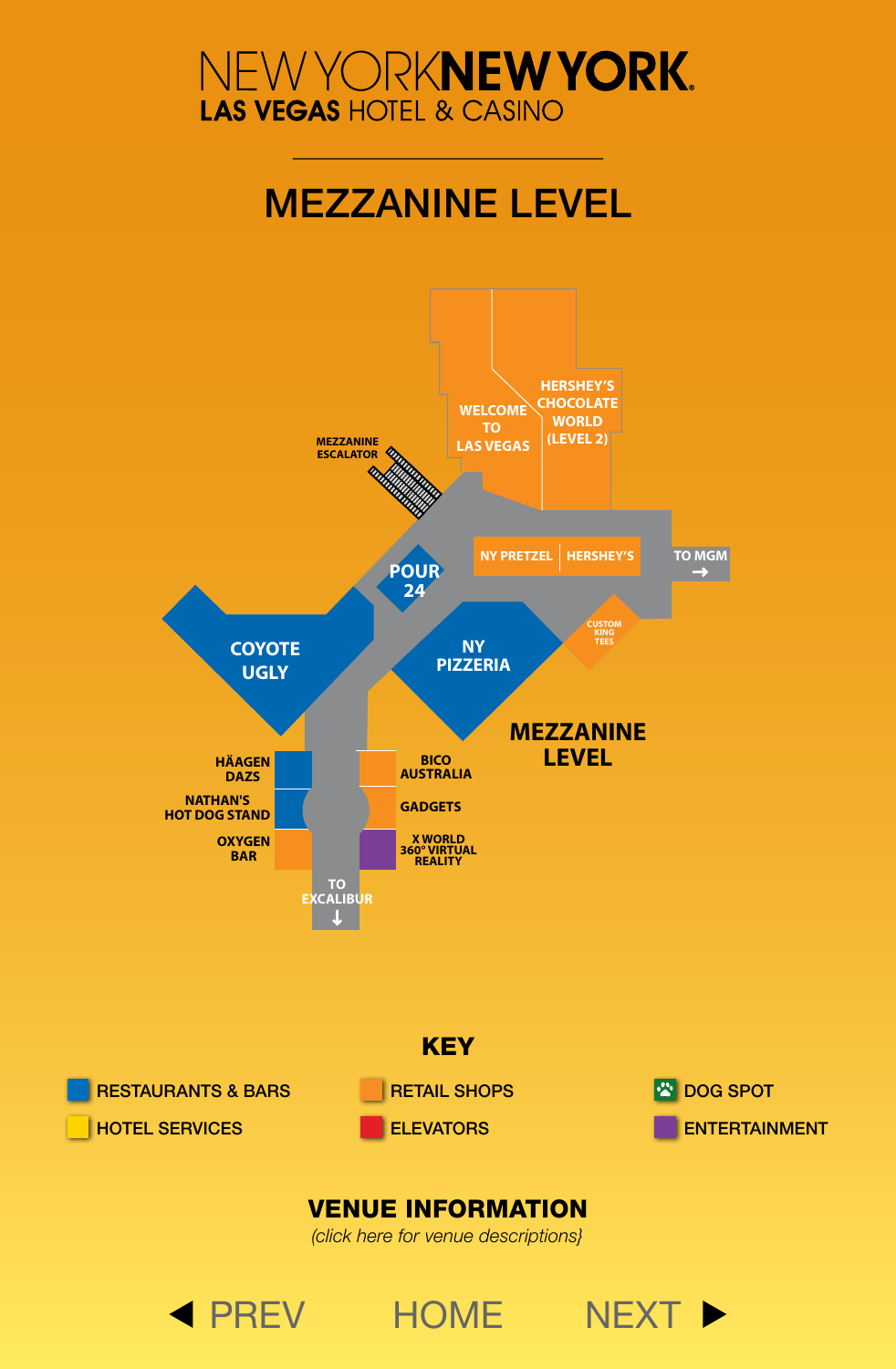# MEZZANINE LEVEL

<span id="page-2-0"></span>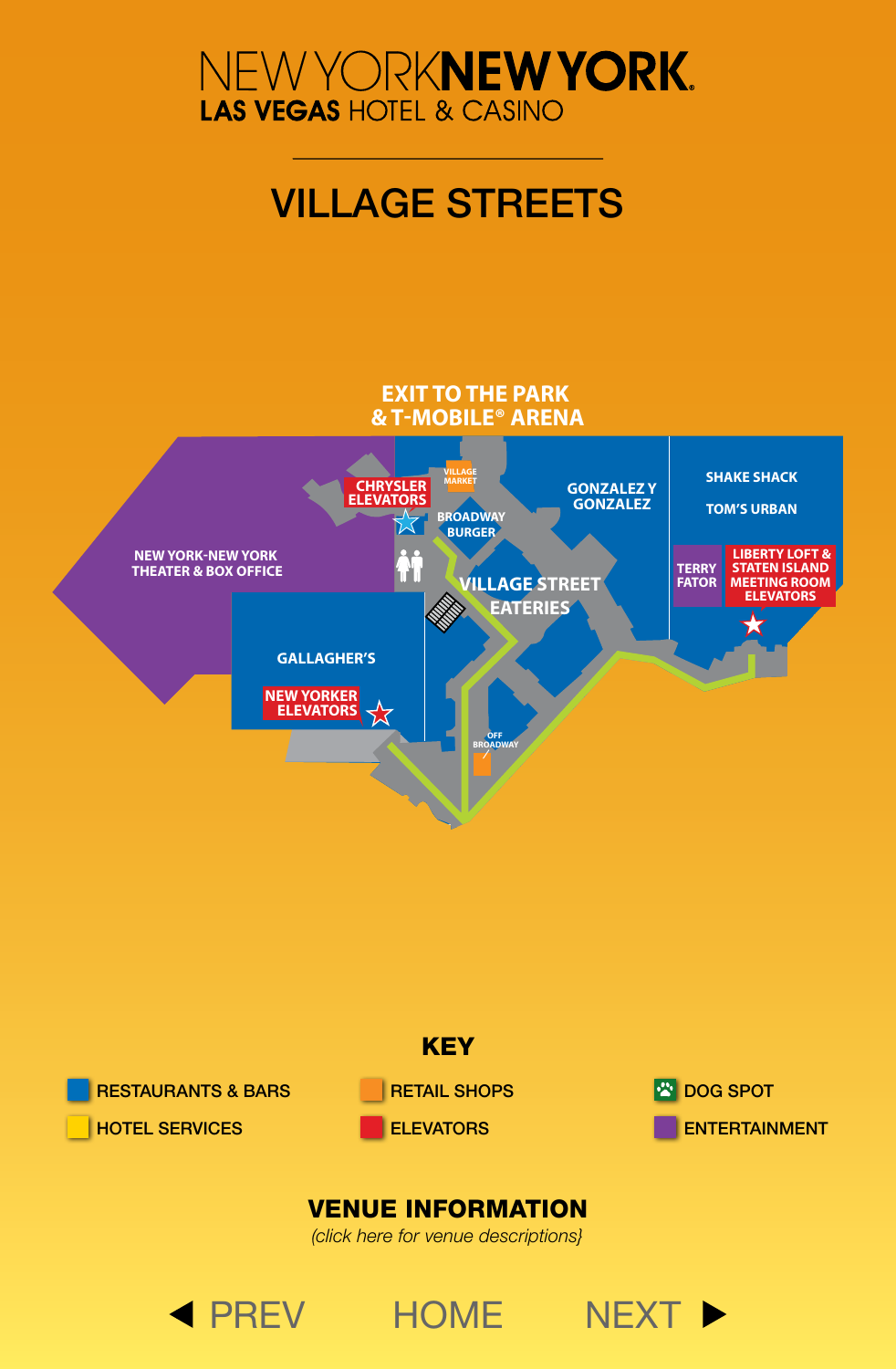<span id="page-3-0"></span>

# VILLAGE STREETS





◀ [PREV](#page-2-0) [HOME](#page-0-0) [NEXT](#page-4-0) ▶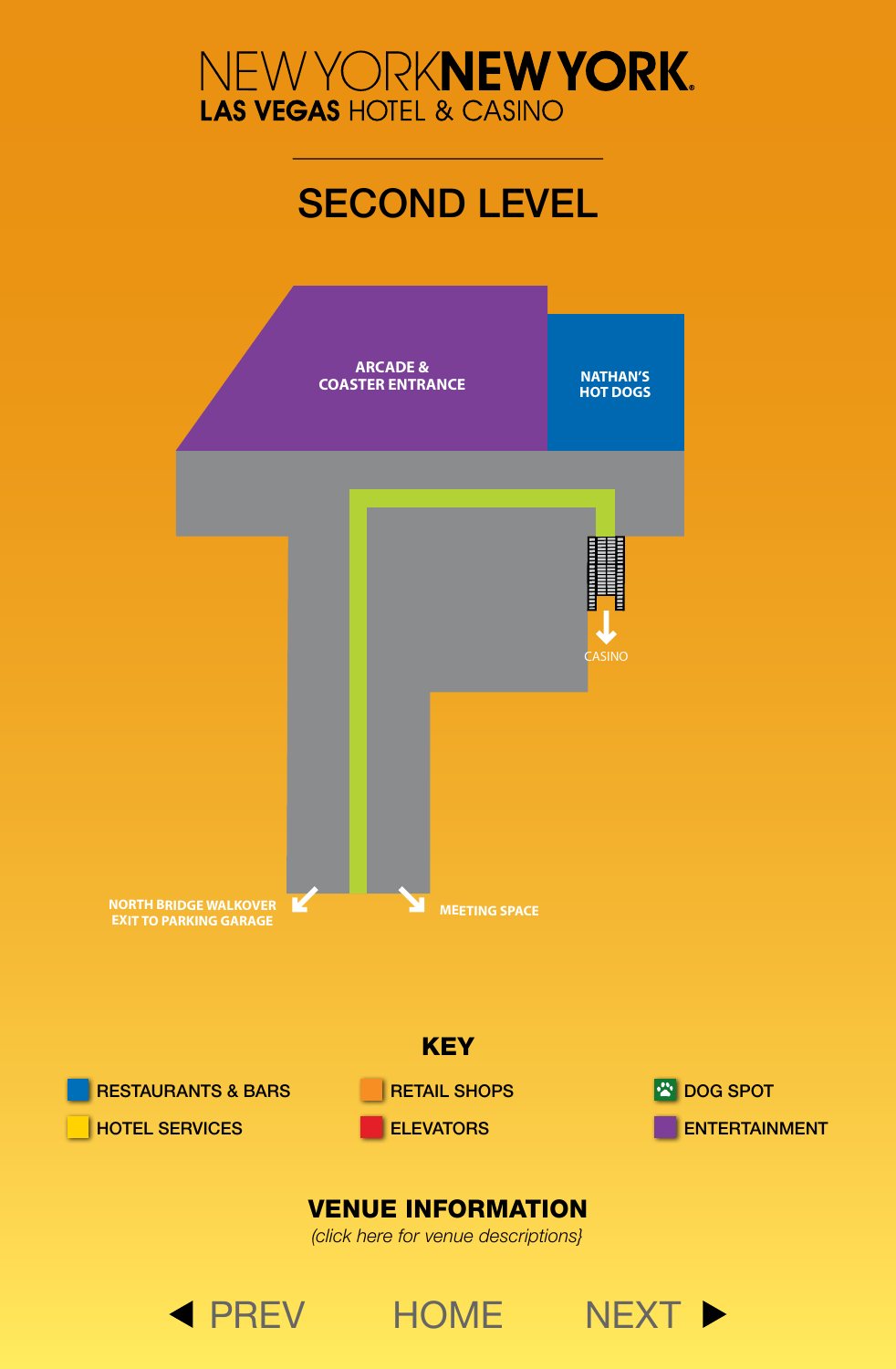# SECOND LEVEL

<span id="page-4-0"></span>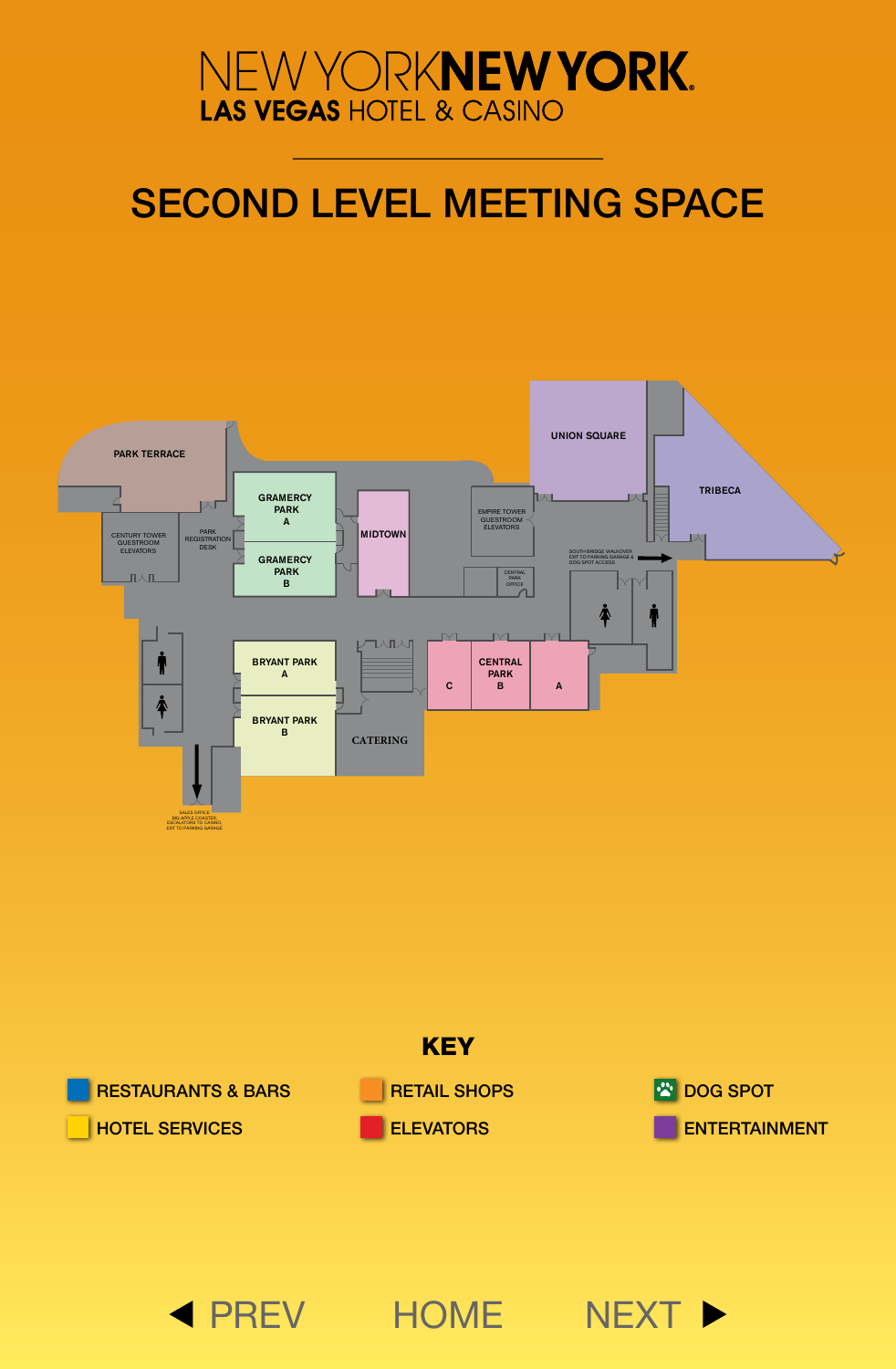# <span id="page-5-0"></span>SECOND LEVEL MEETING SPACE





◀ [PREV](#page-4-0) [HOME](#page-0-0) [NEXT](#page-7-0) ▶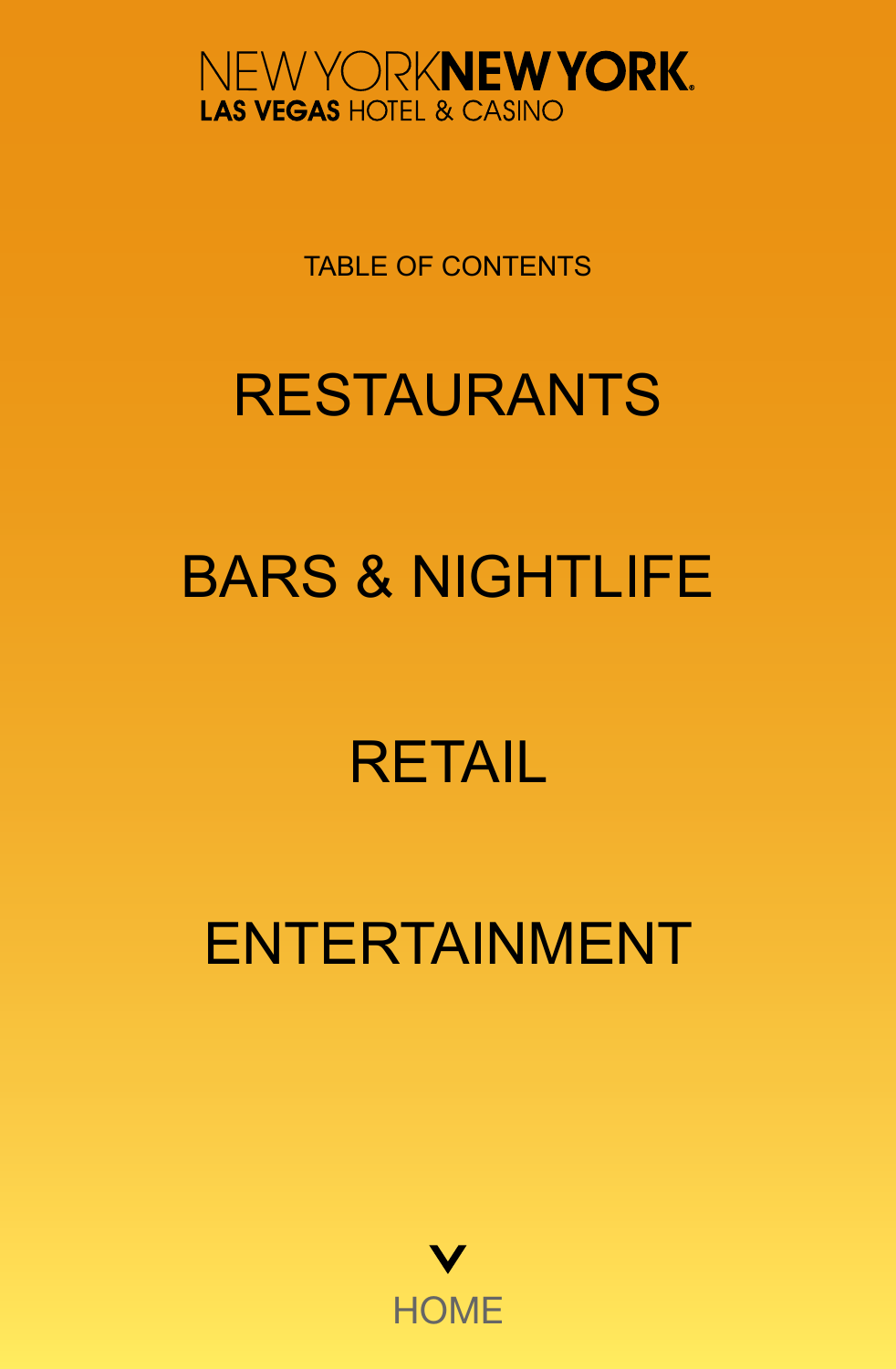<span id="page-6-0"></span>

TABLE OF CONTENTS

# [RESTAURANTS](#page-7-0)

# [BARS & NIGHTLIFE](#page-8-0)

# [RETAIL](#page-9-0)

# [ENTERTAINMENT](#page-10-0)

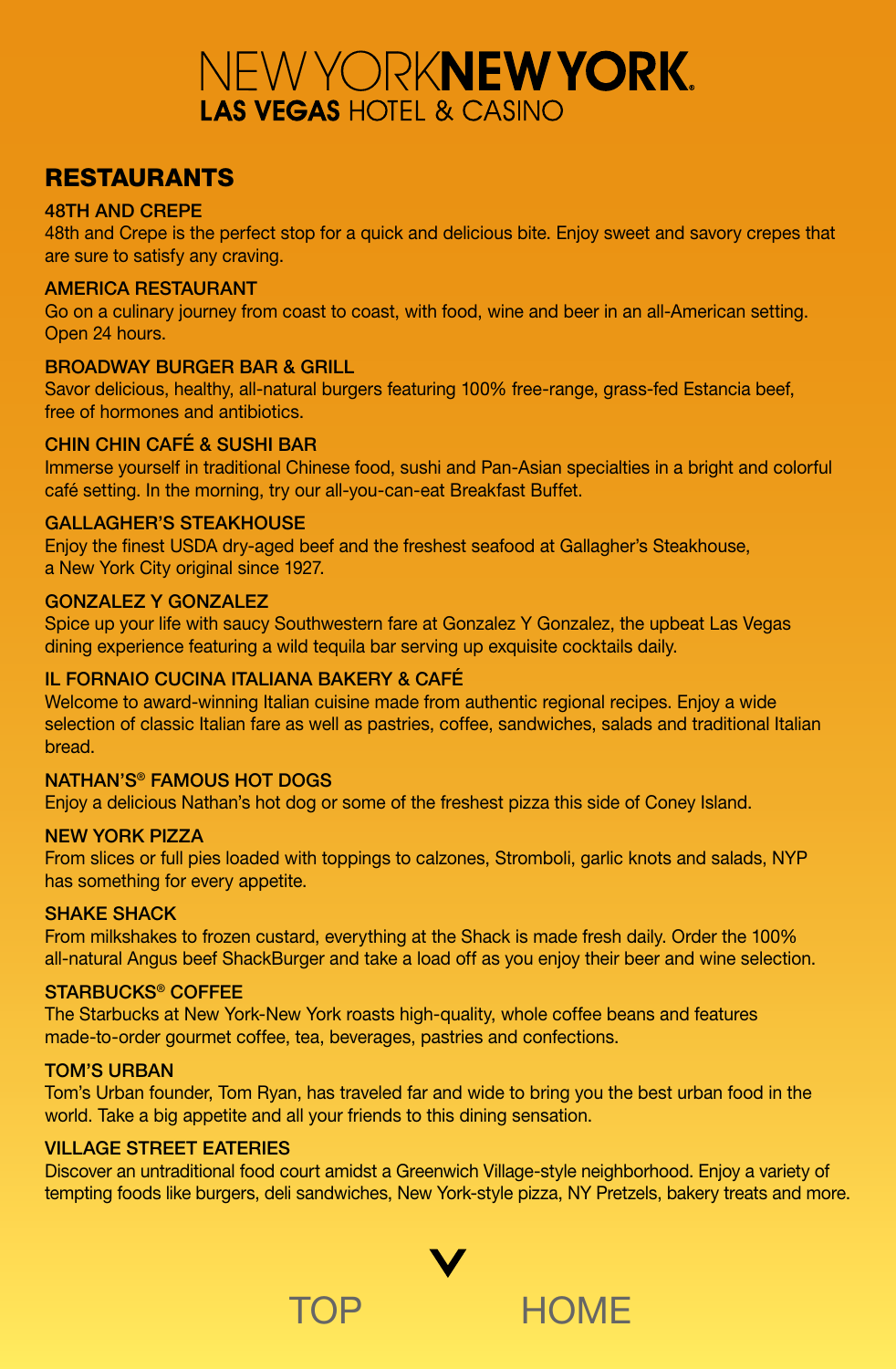## <span id="page-7-0"></span>RESTAURANTS

## 48TH AND CREPE

48th and Crepe is the perfect stop for a quick and delicious bite. Enjoy sweet and savory crepes that are sure to satisfy any craving.

## AMERICA RESTAURANT

Go on a culinary journey from coast to coast, with food, wine and beer in an all-American setting. Open 24 hours.

## BROADWAY BURGER BAR & GRILL

Savor delicious, healthy, all-natural burgers featuring 100% free-range, grass-fed Estancia beef, free of hormones and antibiotics.

## CHIN CHIN CAFÉ & SUSHI BAR

Immerse yourself in traditional Chinese food, sushi and Pan-Asian specialties in a bright and colorful café setting. In the morning, try our all-you-can-eat Breakfast Buffet.

## GALLAGHER'S STEAKHOUSE

Enjoy the finest USDA dry-aged beef and the freshest seafood at Gallagher's Steakhouse, a New York City original since 1927.

## GONZALEZ Y GONZALEZ

Spice up your life with saucy Southwestern fare at Gonzalez Y Gonzalez, the upbeat Las Vegas dining experience featuring a wild tequila bar serving up exquisite cocktails daily.

## IL FORNAIO CUCINA ITALIANA BAKERY & CAFÉ

Welcome to award-winning Italian cuisine made from authentic regional recipes. Enjoy a wide selection of classic Italian fare as well as pastries, coffee, sandwiches, salads and traditional Italian bread.

### NATHAN'S® FAMOUS HOT DOGS

Enjoy a delicious Nathan's hot dog or some of the freshest pizza this side of Coney Island.

## NEW YORK PIZZA

From slices or full pies loaded with toppings to calzones, Stromboli, garlic knots and salads, NYP has something for every appetite.

### SHAKE SHACK

From milkshakes to frozen custard, everything at the Shack is made fresh daily. Order the 100% all-natural Angus beef ShackBurger and take a load off as you enjoy their beer and wine selection.

### STARBUCKS® COFFEE

The Starbucks at New York-New York roasts high-quality, whole coffee beans and features made-to-order gourmet coffee, tea, beverages, pastries and confections.

### TOM'S URBAN

Tom's Urban founder, Tom Ryan, has traveled far and wide to bring you the best urban food in the world. Take a big appetite and all your friends to this dining sensation.

### VILLAGE STREET EATERIES

Discover an untraditional food court amidst a Greenwich Village-style neighborhood. Enjoy a variety of tempting foods like burgers, deli sandwiches, New York-style pizza, NY Pretzels, bakery treats and more.

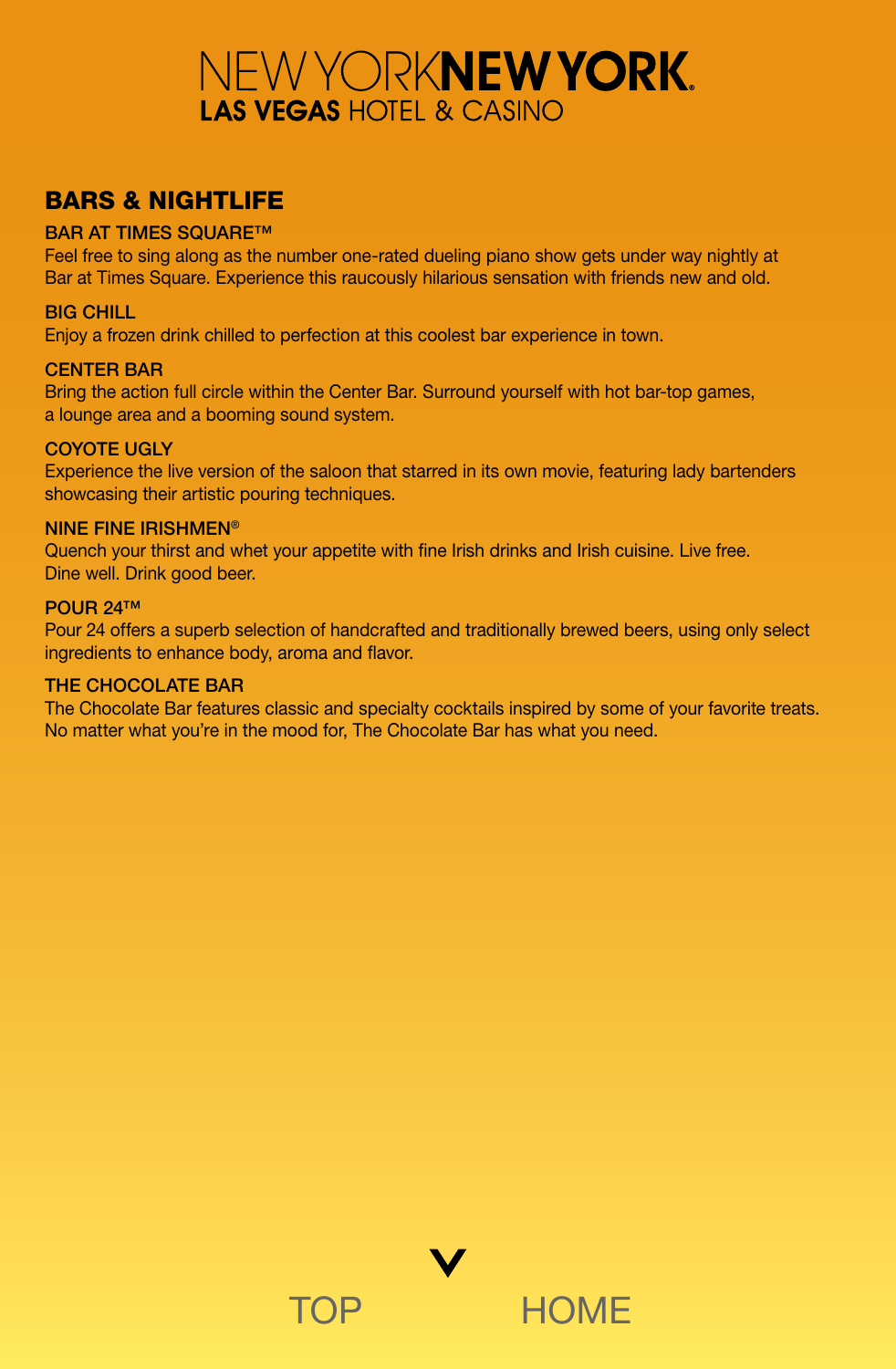## <span id="page-8-0"></span>BARS & NIGHTLIFE

## **BAR AT TIMES SQUARE™**

Feel free to sing along as the number one-rated dueling piano show gets under way nightly at Bar at Times Square. Experience this raucously hilarious sensation with friends new and old.

## BIG CHILL

Enjoy a frozen drink chilled to perfection at this coolest bar experience in town.

## CENTER BAR

Bring the action full circle within the Center Bar. Surround yourself with hot bar-top games, a lounge area and a booming sound system.

## COYOTE UGLY

Experience the live version of the saloon that starred in its own movie, featuring lady bartenders showcasing their artistic pouring techniques.

## NINE FINE IRISHMEN®

Quench your thirst and whet your appetite with fine Irish drinks and Irish cuisine. Live free. Dine well. Drink good beer.

## POUR 24™

Pour 24 offers a superb selection of handcrafted and traditionally brewed beers, using only select ingredients to enhance body, aroma and flavor.

## THE CHOCOLATE BAR

The Chocolate Bar features classic and specialty cocktails inspired by some of your favorite treats. No matter what you're in the mood for, The Chocolate Bar has what you need.

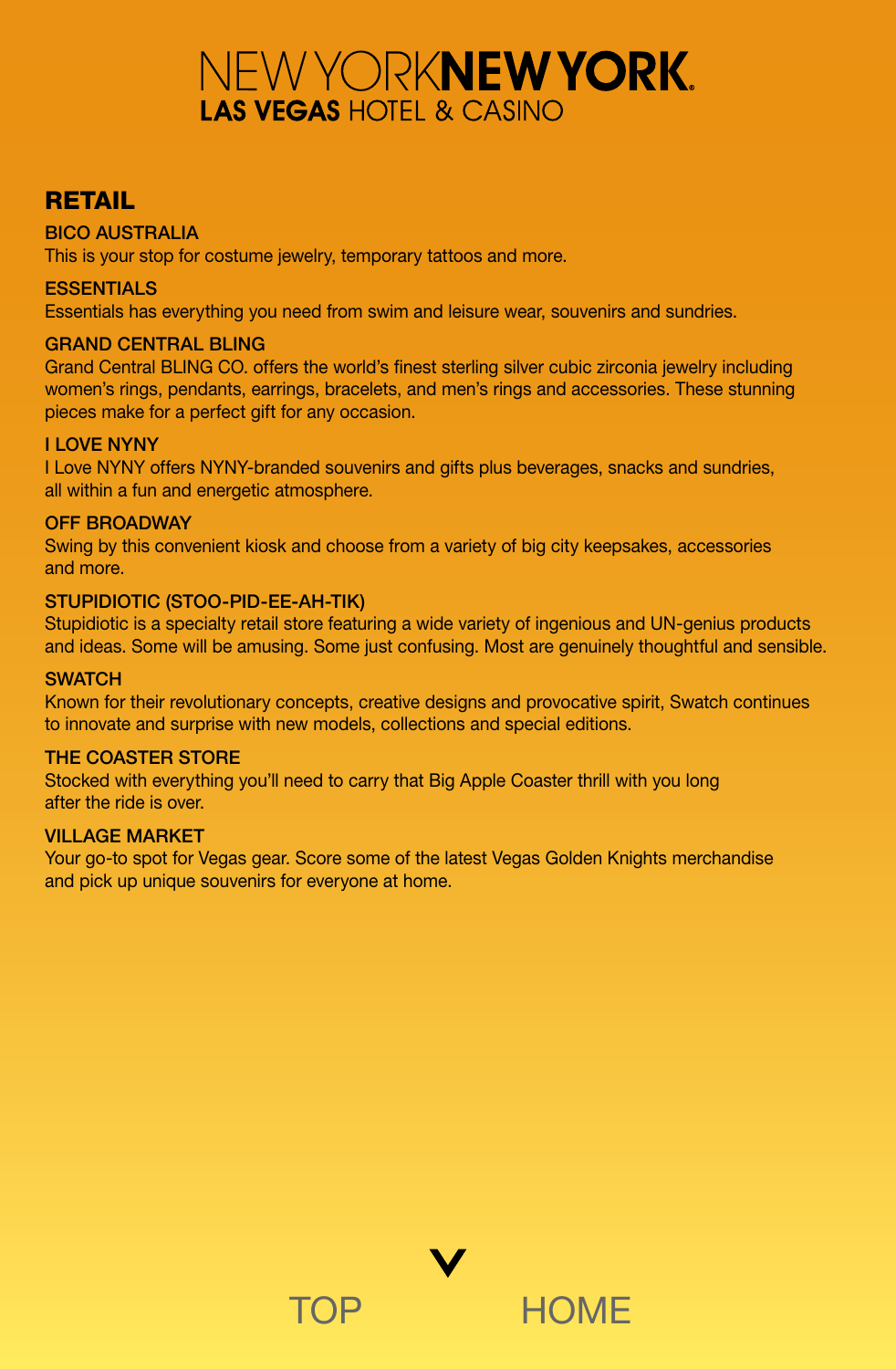## <span id="page-9-0"></span>RETAIL

## BICO AUSTRALIA

This is your stop for costume jewelry, temporary tattoos and more.

## **ESSENTIALS**

Essentials has everything you need from swim and leisure wear, souvenirs and sundries.

## GRAND CENTRAL BLING

Grand Central BLING CO. offers the world's finest sterling silver cubic zirconia jewelry including women's rings, pendants, earrings, bracelets, and men's rings and accessories. These stunning pieces make for a perfect gift for any occasion.

## I LOVE NYNY

I Love NYNY offers NYNY-branded souvenirs and gifts plus beverages, snacks and sundries, all within a fun and energetic atmosphere.

## OFF BROADWAY

Swing by this convenient kiosk and choose from a variety of big city keepsakes, accessories and more.

## STUPIDIOTIC (STOO-PID-EE-AH-TIK)

Stupidiotic is a specialty retail store featuring a wide variety of ingenious and UN-genius products and ideas. Some will be amusing. Some just confusing. Most are genuinely thoughtful and sensible.

## **SWATCH**

Known for their revolutionary concepts, creative designs and provocative spirit, Swatch continues to innovate and surprise with new models, collections and special editions.

### THE COASTER STORE

Stocked with everything you'll need to carry that Big Apple Coaster thrill with you long after the ride is over.

### VILLAGE MARKET

Your go-to spot for Vegas gear. Score some of the latest Vegas Golden Knights merchandise and pick up unique souvenirs for everyone at home.